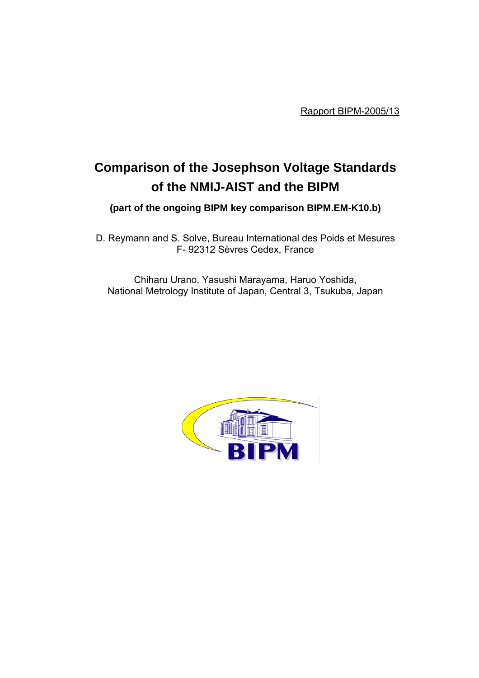Rapport BIPM-2005/13

# **Comparison of the Josephson Voltage Standards of the NMIJ-AIST and the BIPM**

**(part of the ongoing BIPM key comparison BIPM.EM-K10.b)**

D. Reymann and S. Solve, Bureau International des Poids et Mesures F- 92312 Sèvres Cedex, France

Chiharu Urano, Yasushi Marayama, Haruo Yoshida, National Metrology Institute of Japan, Central 3, Tsukuba, Japan

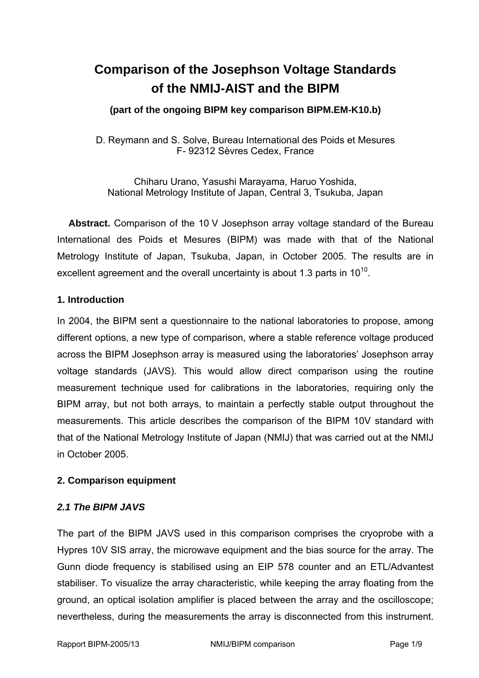## **Comparison of the Josephson Voltage Standards of the NMIJ-AIST and the BIPM**

## **(part of the ongoing BIPM key comparison BIPM.EM-K10.b)**

D. Reymann and S. Solve, Bureau International des Poids et Mesures F- 92312 Sèvres Cedex, France

Chiharu Urano, Yasushi Marayama, Haruo Yoshida, National Metrology Institute of Japan, Central 3, Tsukuba, Japan

**Abstract.** Comparison of the 10 V Josephson array voltage standard of the Bureau International des Poids et Mesures (BIPM) was made with that of the National Metrology Institute of Japan, Tsukuba, Japan, in October 2005. The results are in excellent agreement and the overall uncertainty is about 1.3 parts in  $10^{10}$ .

#### **1. Introduction**

In 2004, the BIPM sent a questionnaire to the national laboratories to propose, among different options, a new type of comparison, where a stable reference voltage produced across the BIPM Josephson array is measured using the laboratories' Josephson array voltage standards (JAVS). This would allow direct comparison using the routine measurement technique used for calibrations in the laboratories, requiring only the BIPM array, but not both arrays, to maintain a perfectly stable output throughout the measurements. This article describes the comparison of the BIPM 10V standard with that of the National Metrology Institute of Japan (NMIJ) that was carried out at the NMIJ in October 2005.

## **2. Comparison equipment**

## *2.1 The BIPM JAVS*

The part of the BIPM JAVS used in this comparison comprises the cryoprobe with a Hypres 10V SIS array, the microwave equipment and the bias source for the array. The Gunn diode frequency is stabilised using an EIP 578 counter and an ETL/Advantest stabiliser. To visualize the array characteristic, while keeping the array floating from the ground, an optical isolation amplifier is placed between the array and the oscilloscope; nevertheless, during the measurements the array is disconnected from this instrument.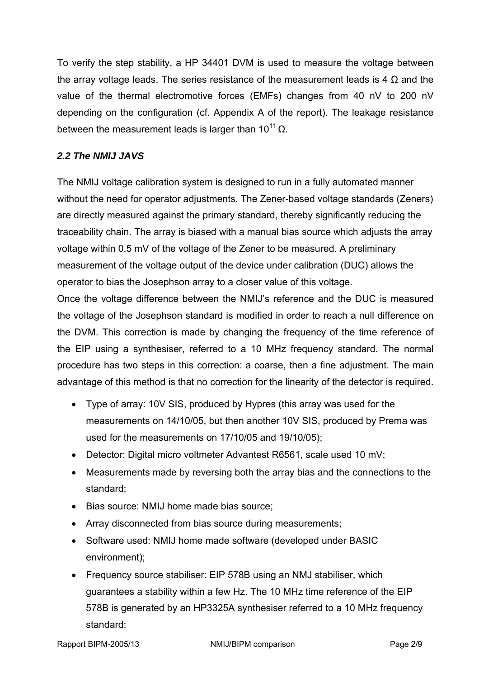To verify the step stability, a HP 34401 DVM is used to measure the voltage between the array voltage leads. The series resistance of the measurement leads is 4  $\Omega$  and the value of the thermal electromotive forces (EMFs) changes from 40 nV to 200 nV depending on the configuration (cf. Appendix A of the report). The leakage resistance between the measurement leads is larger than  $10^{11} \Omega$ .

## *2.2 The NMIJ JAVS*

The NMIJ voltage calibration system is designed to run in a fully automated manner without the need for operator adjustments. The Zener-based voltage standards (Zeners) are directly measured against the primary standard, thereby significantly reducing the traceability chain. The array is biased with a manual bias source which adjusts the array voltage within 0.5 mV of the voltage of the Zener to be measured. A preliminary measurement of the voltage output of the device under calibration (DUC) allows the operator to bias the Josephson array to a closer value of this voltage.

Once the voltage difference between the NMIJ's reference and the DUC is measured the voltage of the Josephson standard is modified in order to reach a null difference on the DVM. This correction is made by changing the frequency of the time reference of the EIP using a synthesiser, referred to a 10 MHz frequency standard. The normal procedure has two steps in this correction: a coarse, then a fine adjustment. The main advantage of this method is that no correction for the linearity of the detector is required.

- Type of array: 10V SIS, produced by Hypres (this array was used for the measurements on 14/10/05, but then another 10V SIS, produced by Prema was used for the measurements on 17/10/05 and 19/10/05);
- Detector: Digital micro voltmeter Advantest R6561, scale used 10 mV;
- Measurements made by reversing both the array bias and the connections to the standard;
- Bias source: NMIJ home made bias source;
- Array disconnected from bias source during measurements;
- Software used: NMIJ home made software (developed under BASIC environment);
- Frequency source stabiliser: EIP 578B using an NMJ stabiliser, which guarantees a stability within a few Hz. The 10 MHz time reference of the EIP 578B is generated by an HP3325A synthesiser referred to a 10 MHz frequency standard;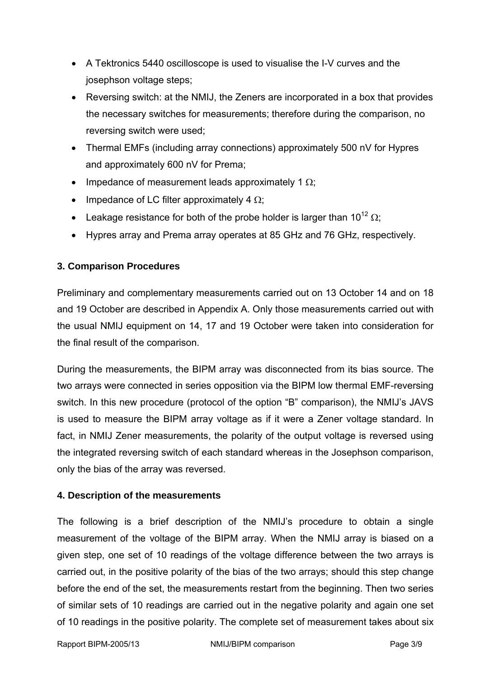- A Tektronics 5440 oscilloscope is used to visualise the I-V curves and the josephson voltage steps;
- Reversing switch: at the NMIJ, the Zeners are incorporated in a box that provides the necessary switches for measurements; therefore during the comparison, no reversing switch were used;
- Thermal EMFs (including array connections) approximately 500 nV for Hypres and approximately 600 nV for Prema;
- Impedance of measurement leads approximately 1  $\Omega$ ;
- Impedance of LC filter approximately 4  $\Omega$ ;
- Leakage resistance for both of the probe holder is larger than  $10^{12} \Omega$ ;
- Hypres array and Prema array operates at 85 GHz and 76 GHz, respectively.

## **3. Comparison Procedures**

Preliminary and complementary measurements carried out on 13 October 14 and on 18 and 19 October are described in Appendix A. Only those measurements carried out with the usual NMIJ equipment on 14, 17 and 19 October were taken into consideration for the final result of the comparison.

During the measurements, the BIPM array was disconnected from its bias source. The two arrays were connected in series opposition via the BIPM low thermal EMF-reversing switch. In this new procedure (protocol of the option "B" comparison), the NMIJ's JAVS is used to measure the BIPM array voltage as if it were a Zener voltage standard. In fact, in NMIJ Zener measurements, the polarity of the output voltage is reversed using the integrated reversing switch of each standard whereas in the Josephson comparison, only the bias of the array was reversed.

## **4. Description of the measurements**

The following is a brief description of the NMIJ's procedure to obtain a single measurement of the voltage of the BIPM array. When the NMIJ array is biased on a given step, one set of 10 readings of the voltage difference between the two arrays is carried out, in the positive polarity of the bias of the two arrays; should this step change before the end of the set, the measurements restart from the beginning. Then two series of similar sets of 10 readings are carried out in the negative polarity and again one set of 10 readings in the positive polarity. The complete set of measurement takes about six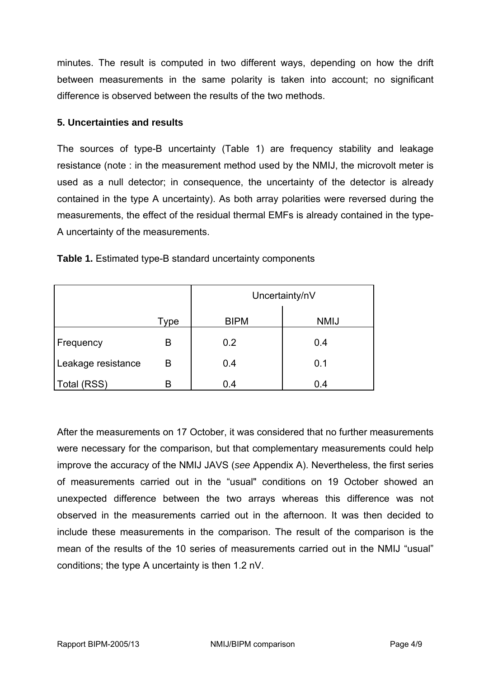minutes. The result is computed in two different ways, depending on how the drift between measurements in the same polarity is taken into account; no significant difference is observed between the results of the two methods.

#### **5. Uncertainties and results**

The sources of type-B uncertainty (Table 1) are frequency stability and leakage resistance (note : in the measurement method used by the NMIJ, the microvolt meter is used as a null detector; in consequence, the uncertainty of the detector is already contained in the type A uncertainty). As both array polarities were reversed during the measurements, the effect of the residual thermal EMFs is already contained in the type-A uncertainty of the measurements.

|                    |      | Uncertainty/nV |             |
|--------------------|------|----------------|-------------|
|                    | Type | <b>BIPM</b>    | <b>NMIJ</b> |
| Frequency          | B    | 0.2            | 0.4         |
| Leakage resistance | B    | 0.4            | 0.1         |
| Total (RSS)        | B    | 0.4            | 0.4         |

**Table 1.** Estimated type-B standard uncertainty components

After the measurements on 17 October, it was considered that no further measurements were necessary for the comparison, but that complementary measurements could help improve the accuracy of the NMIJ JAVS (*see* Appendix A). Nevertheless, the first series of measurements carried out in the "usual" conditions on 19 October showed an unexpected difference between the two arrays whereas this difference was not observed in the measurements carried out in the afternoon. It was then decided to include these measurements in the comparison. The result of the comparison is the mean of the results of the 10 series of measurements carried out in the NMIJ "usual" conditions; the type A uncertainty is then 1.2 nV.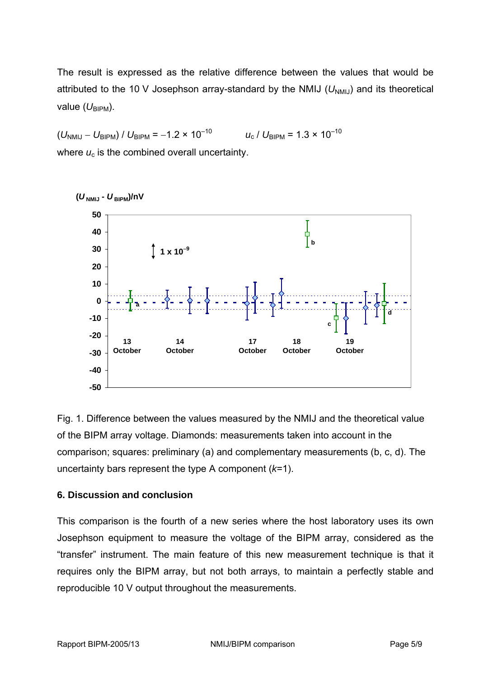The result is expressed as the relative difference between the values that would be attributed to the 10 V Josephson array-standard by the NMIJ ( $U_{NMIJ}$ ) and its theoretical value (U<sub>BIPM</sub>).

 $(U_{\text{NMIJ}} - U_{\text{BIPM}}) / U_{\text{BIPM}} = -1.2 \times 10^{-10}$   $U_{\text{c}} / U_{\text{RIPM}} = 1.3 \times 10^{-10}$ where  $u_c$  is the combined overall uncertainty.



**(***U* **NMIJ -** *U* **BIPM)/nV**

Fig. 1. Difference between the values measured by the NMIJ and the theoretical value of the BIPM array voltage. Diamonds: measurements taken into account in the comparison; squares: preliminary (a) and complementary measurements (b, c, d). The uncertainty bars represent the type A component (*k*=1).

#### **6. Discussion and conclusion**

This comparison is the fourth of a new series where the host laboratory uses its own Josephson equipment to measure the voltage of the BIPM array, considered as the "transfer" instrument. The main feature of this new measurement technique is that it requires only the BIPM array, but not both arrays, to maintain a perfectly stable and reproducible 10 V output throughout the measurements.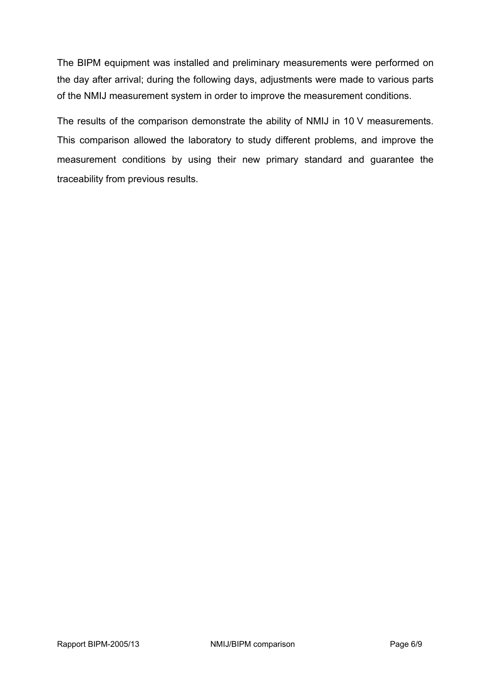The BIPM equipment was installed and preliminary measurements were performed on the day after arrival; during the following days, adjustments were made to various parts of the NMIJ measurement system in order to improve the measurement conditions.

The results of the comparison demonstrate the ability of NMIJ in 10 V measurements. This comparison allowed the laboratory to study different problems, and improve the measurement conditions by using their new primary standard and guarantee the traceability from previous results.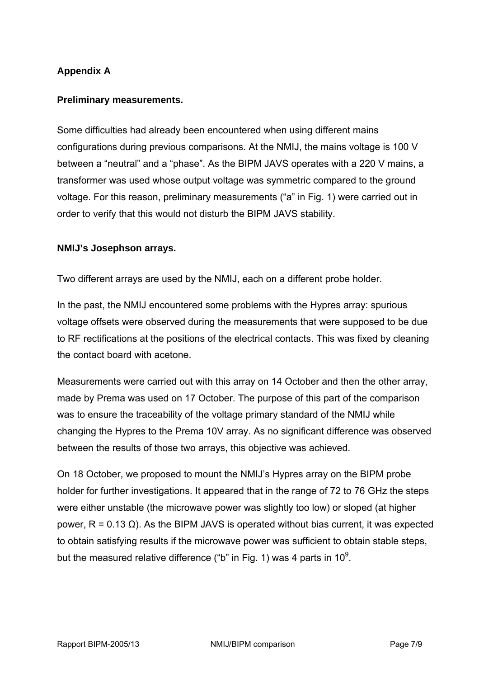## **Appendix A**

#### **Preliminary measurements.**

Some difficulties had already been encountered when using different mains configurations during previous comparisons. At the NMIJ, the mains voltage is 100 V between a "neutral" and a "phase". As the BIPM JAVS operates with a 220 V mains, a transformer was used whose output voltage was symmetric compared to the ground voltage. For this reason, preliminary measurements ("a" in Fig. 1) were carried out in order to verify that this would not disturb the BIPM JAVS stability.

#### **NMIJ's Josephson arrays.**

Two different arrays are used by the NMIJ, each on a different probe holder.

In the past, the NMIJ encountered some problems with the Hypres array: spurious voltage offsets were observed during the measurements that were supposed to be due to RF rectifications at the positions of the electrical contacts. This was fixed by cleaning the contact board with acetone.

Measurements were carried out with this array on 14 October and then the other array, made by Prema was used on 17 October. The purpose of this part of the comparison was to ensure the traceability of the voltage primary standard of the NMIJ while changing the Hypres to the Prema 10V array. As no significant difference was observed between the results of those two arrays, this objective was achieved.

On 18 October, we proposed to mount the NMIJ's Hypres array on the BIPM probe holder for further investigations. It appeared that in the range of 72 to 76 GHz the steps were either unstable (the microwave power was slightly too low) or sloped (at higher power, R = 0.13 Ω). As the BIPM JAVS is operated without bias current, it was expected to obtain satisfying results if the microwave power was sufficient to obtain stable steps, but the measured relative difference ("b" in Fig. 1) was 4 parts in 10<sup>9</sup>.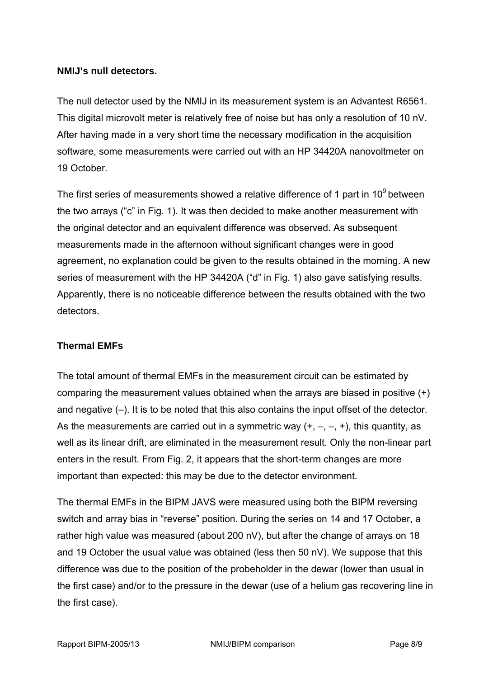#### **NMIJ's null detectors.**

The null detector used by the NMIJ in its measurement system is an Advantest R6561. This digital microvolt meter is relatively free of noise but has only a resolution of 10 nV. After having made in a very short time the necessary modification in the acquisition software, some measurements were carried out with an HP 34420A nanovoltmeter on 19 October.

The first series of measurements showed a relative difference of 1 part in  $10<sup>9</sup>$  between the two arrays ("c" in Fig. 1). It was then decided to make another measurement with the original detector and an equivalent difference was observed. As subsequent measurements made in the afternoon without significant changes were in good agreement, no explanation could be given to the results obtained in the morning. A new series of measurement with the HP 34420A ("d" in Fig. 1) also gave satisfying results. Apparently, there is no noticeable difference between the results obtained with the two detectors.

## **Thermal EMFs**

The total amount of thermal EMFs in the measurement circuit can be estimated by comparing the measurement values obtained when the arrays are biased in positive (+) and negative (–). It is to be noted that this also contains the input offset of the detector. As the measurements are carried out in a symmetric way  $(+, -, -, +)$ , this quantity, as well as its linear drift, are eliminated in the measurement result. Only the non-linear part enters in the result. From Fig. 2, it appears that the short-term changes are more important than expected: this may be due to the detector environment.

The thermal EMFs in the BIPM JAVS were measured using both the BIPM reversing switch and array bias in "reverse" position. During the series on 14 and 17 October, a rather high value was measured (about 200 nV), but after the change of arrays on 18 and 19 October the usual value was obtained (less then 50 nV). We suppose that this difference was due to the position of the probeholder in the dewar (lower than usual in the first case) and/or to the pressure in the dewar (use of a helium gas recovering line in the first case).